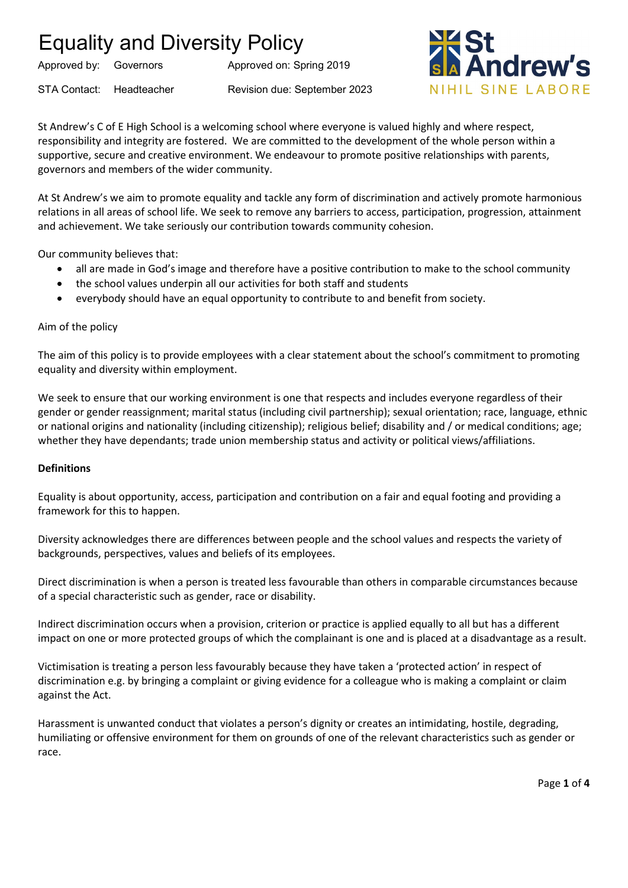Approved by: Governors Approved on: Spring 2019

STA Contact: Headteacher Revision due: September 2023



St Andrew's C of E High School is a welcoming school where everyone is valued highly and where respect, responsibility and integrity are fostered. We are committed to the development of the whole person within a supportive, secure and creative environment. We endeavour to promote positive relationships with parents, governors and members of the wider community.

At St Andrew's we aim to promote equality and tackle any form of discrimination and actively promote harmonious relations in all areas of school life. We seek to remove any barriers to access, participation, progression, attainment and achievement. We take seriously our contribution towards community cohesion.

Our community believes that:

- all are made in God's image and therefore have a positive contribution to make to the school community
- the school values underpin all our activities for both staff and students
- everybody should have an equal opportunity to contribute to and benefit from society.

#### Aim of the policy

The aim of this policy is to provide employees with a clear statement about the school's commitment to promoting equality and diversity within employment.

We seek to ensure that our working environment is one that respects and includes everyone regardless of their gender or gender reassignment; marital status (including civil partnership); sexual orientation; race, language, ethnic or national origins and nationality (including citizenship); religious belief; disability and / or medical conditions; age; whether they have dependants; trade union membership status and activity or political views/affiliations.

#### **Definitions**

Equality is about opportunity, access, participation and contribution on a fair and equal footing and providing a framework for this to happen.

Diversity acknowledges there are differences between people and the school values and respects the variety of backgrounds, perspectives, values and beliefs of its employees.

Direct discrimination is when a person is treated less favourable than others in comparable circumstances because of a special characteristic such as gender, race or disability.

Indirect discrimination occurs when a provision, criterion or practice is applied equally to all but has a different impact on one or more protected groups of which the complainant is one and is placed at a disadvantage as a result.

Victimisation is treating a person less favourably because they have taken a 'protected action' in respect of discrimination e.g. by bringing a complaint or giving evidence for a colleague who is making a complaint or claim against the Act.

Harassment is unwanted conduct that violates a person's dignity or creates an intimidating, hostile, degrading, humiliating or offensive environment for them on grounds of one of the relevant characteristics such as gender or race.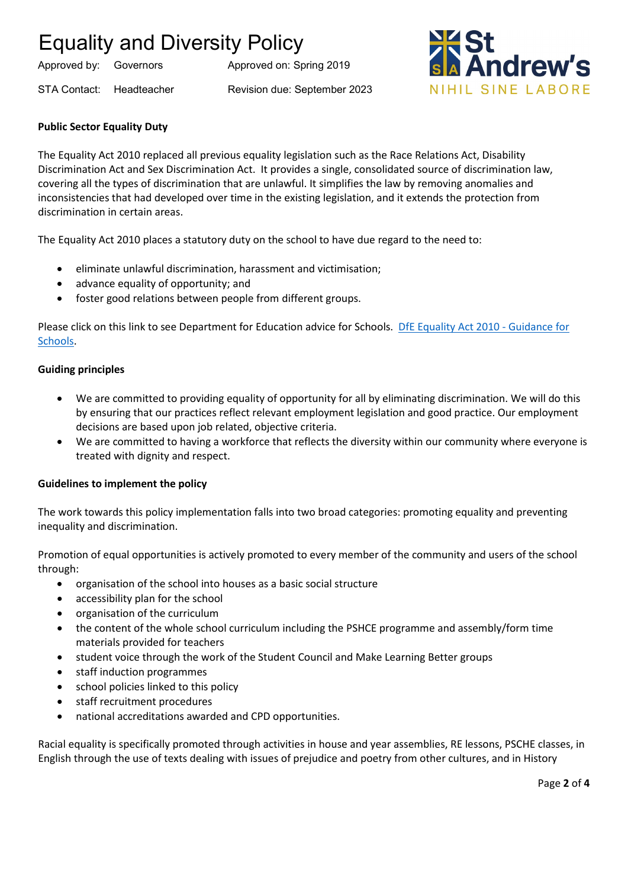Approved by: Governors Approved on: Spring 2019

STA Contact: Headteacher Revision due: September 2023



### **Public Sector Equality Duty**

The Equality Act 2010 replaced all previous equality legislation such as the Race Relations Act, Disability Discrimination Act and Sex Discrimination Act. It provides a single, consolidated source of discrimination law, covering all the types of discrimination that are unlawful. It simplifies the law by removing anomalies and inconsistencies that had developed over time in the existing legislation, and it extends the protection from discrimination in certain areas.

The Equality Act 2010 places a statutory duty on the school to have due regard to the need to:

- eliminate unlawful discrimination, harassment and victimisation;
- advance equality of opportunity; and
- foster good relations between people from different groups.

Please click on this link to see Department for Education advice for Schools. [DfE Equality Act 2010 -](https://assets.publishing.service.gov.uk/government/uploads/system/uploads/attachment_data/file/315587/Equality_Act_Advice_Final.pdf) Guidance for [Schools.](https://assets.publishing.service.gov.uk/government/uploads/system/uploads/attachment_data/file/315587/Equality_Act_Advice_Final.pdf)

### **Guiding principles**

- We are committed to providing equality of opportunity for all by eliminating discrimination. We will do this by ensuring that our practices reflect relevant employment legislation and good practice. Our employment decisions are based upon job related, objective criteria.
- We are committed to having a workforce that reflects the diversity within our community where everyone is treated with dignity and respect.

### **Guidelines to implement the policy**

The work towards this policy implementation falls into two broad categories: promoting equality and preventing inequality and discrimination.

Promotion of equal opportunities is actively promoted to every member of the community and users of the school through:

- organisation of the school into houses as a basic social structure
- accessibility plan for the school
- organisation of the curriculum
- the content of the whole school curriculum including the PSHCE programme and assembly/form time materials provided for teachers
- student voice through the work of the Student Council and Make Learning Better groups
- staff induction programmes
- school policies linked to this policy
- staff recruitment procedures
- national accreditations awarded and CPD opportunities.

Racial equality is specifically promoted through activities in house and year assemblies, RE lessons, PSCHE classes, in English through the use of texts dealing with issues of prejudice and poetry from other cultures, and in History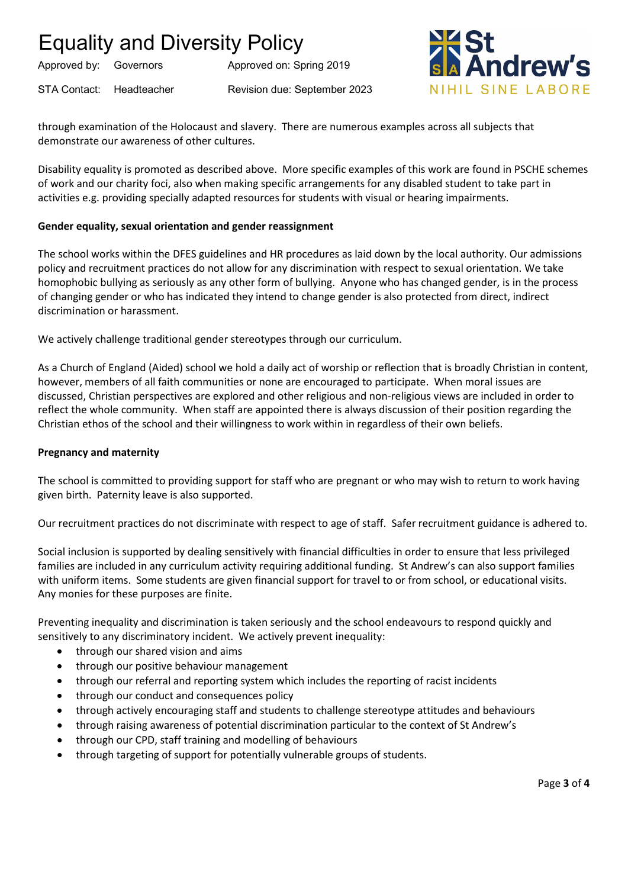Approved by: Governors Approved on: Spring 2019

STA Contact: Headteacher Revision due: September 2023

**drew** NIHIL SINE LABORE

through examination of the Holocaust and slavery. There are numerous examples across all subjects that demonstrate our awareness of other cultures.

Disability equality is promoted as described above. More specific examples of this work are found in PSCHE schemes of work and our charity foci, also when making specific arrangements for any disabled student to take part in activities e.g. providing specially adapted resources for students with visual or hearing impairments.

### **Gender equality, sexual orientation and gender reassignment**

The school works within the DFES guidelines and HR procedures as laid down by the local authority. Our admissions policy and recruitment practices do not allow for any discrimination with respect to sexual orientation. We take homophobic bullying as seriously as any other form of bullying. Anyone who has changed gender, is in the process of changing gender or who has indicated they intend to change gender is also protected from direct, indirect discrimination or harassment.

We actively challenge traditional gender stereotypes through our curriculum.

As a Church of England (Aided) school we hold a daily act of worship or reflection that is broadly Christian in content, however, members of all faith communities or none are encouraged to participate. When moral issues are discussed, Christian perspectives are explored and other religious and non-religious views are included in order to reflect the whole community. When staff are appointed there is always discussion of their position regarding the Christian ethos of the school and their willingness to work within in regardless of their own beliefs.

### **Pregnancy and maternity**

The school is committed to providing support for staff who are pregnant or who may wish to return to work having given birth. Paternity leave is also supported.

Our recruitment practices do not discriminate with respect to age of staff. Safer recruitment guidance is adhered to.

Social inclusion is supported by dealing sensitively with financial difficulties in order to ensure that less privileged families are included in any curriculum activity requiring additional funding. St Andrew's can also support families with uniform items. Some students are given financial support for travel to or from school, or educational visits. Any monies for these purposes are finite.

Preventing inequality and discrimination is taken seriously and the school endeavours to respond quickly and sensitively to any discriminatory incident. We actively prevent inequality:

- through our shared vision and aims
- through our positive behaviour management
- through our referral and reporting system which includes the reporting of racist incidents
- through our conduct and consequences policy
- through actively encouraging staff and students to challenge stereotype attitudes and behaviours
- through raising awareness of potential discrimination particular to the context of St Andrew's
- through our CPD, staff training and modelling of behaviours
- through targeting of support for potentially vulnerable groups of students.